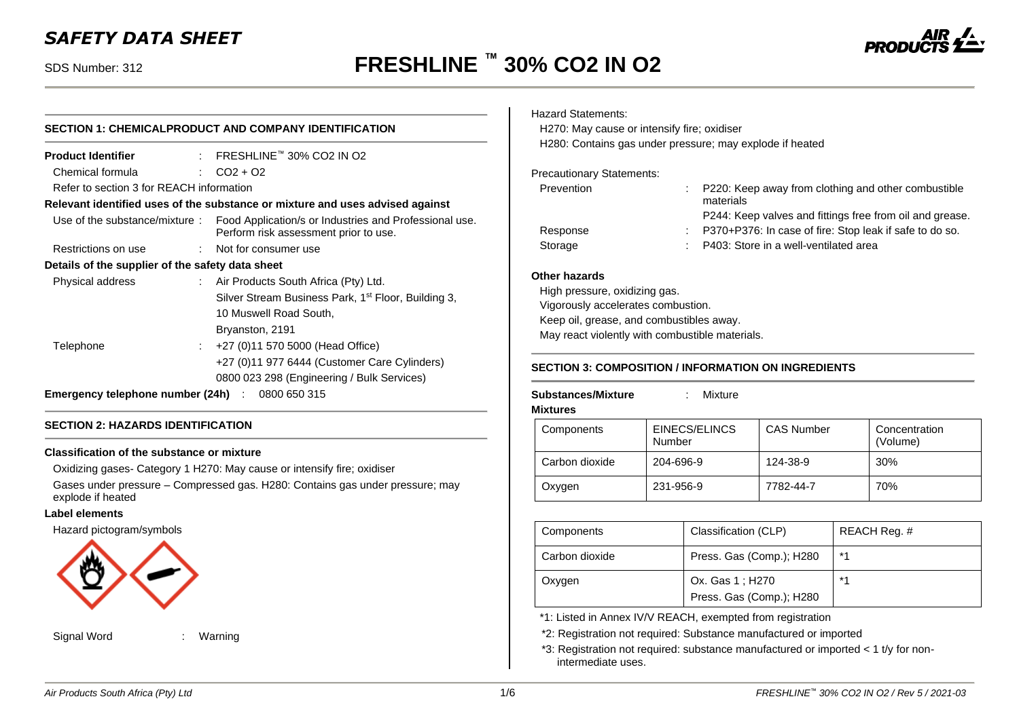# *SAFETY DATA SHEET*

# SDS Number: 312 **FRESHLINE ™ 30% CO2 IN O2**



# **SECTION 1: CHEMICALPRODUCT AND COMPANY IDENTIFICATION Product Identifier** : FRESHLINE™ 30% CO2 IN O2 Chemical formula : CO2 + O2 Refer to section 3 for REACH information **Relevant identified uses of the substance or mixture and uses advised against** Use of the substance/mixture : Food Application/s or Industries and Professional use. Perform risk assessment prior to use. Restrictions on use : Not for consumer use **Details of the supplier of the safety data sheet** Physical address : Air Products South Africa (Pty) Ltd. Silver Stream Business Park, 1<sup>st</sup> Floor, Building 3, 10 Muswell Road South, Bryanston, 2191 Telephone : +27 (0)11 570 5000 (Head Office) +27 (0)11 977 6444 (Customer Care Cylinders) 0800 023 298 (Engineering / Bulk Services) **Emergency telephone number (24h)** : 0800 650 315

# **SECTION 2: HAZARDS IDENTIFICATION**

### **Classification of the substance or mixture**

Oxidizing gases- Category 1 H270: May cause or intensify fire; oxidiser Gases under pressure – Compressed gas. H280: Contains gas under pressure; may explode if heated

### **Label elements**

Hazard pictogram/symbols



Signal Word : Warning

Hazard Statements:

H270: May cause or intensify fire; oxidiser H280: Contains gas under pressure; may explode if heated

Precautionary Statements:

| : P220: Keep away from clothing and other combustible<br>materials |
|--------------------------------------------------------------------|
| P244: Keep valves and fittings free from oil and grease.           |
| : P370+P376: In case of fire: Stop leak if safe to do so.          |
| : P403: Store in a well-ventilated area                            |
|                                                                    |

### **Other hazards**

High pressure, oxidizing gas. Vigorously accelerates combustion. Keep oil, grease, and combustibles away. May react violently with combustible materials.

# **SECTION 3: COMPOSITION / INFORMATION ON INGREDIENTS**

| <b>Substances/Mixture</b><br><b>Mixtures</b> | Mixture                 |                   |                           |
|----------------------------------------------|-------------------------|-------------------|---------------------------|
| Components                                   | EINECS/ELINCS<br>Number | <b>CAS Number</b> | Concentration<br>(Volume) |
| Carbon dioxide                               | 204-696-9               | 124-38-9          | 30%                       |
| Oxygen                                       | 231-956-9               | 7782-44-7         | 70%                       |

| Components     | Classification (CLP)                         | REACH Req. # |
|----------------|----------------------------------------------|--------------|
| Carbon dioxide | Press. Gas (Comp.); H280                     | $*1$         |
| Oxygen         | Ox. Gas 1 : H270<br>Press. Gas (Comp.); H280 | $*$          |

\*1: Listed in Annex IV/V REACH, exempted from registration

\*2: Registration not required: Substance manufactured or imported

\*3: Registration not required: substance manufactured or imported < 1 t/y for nonintermediate uses.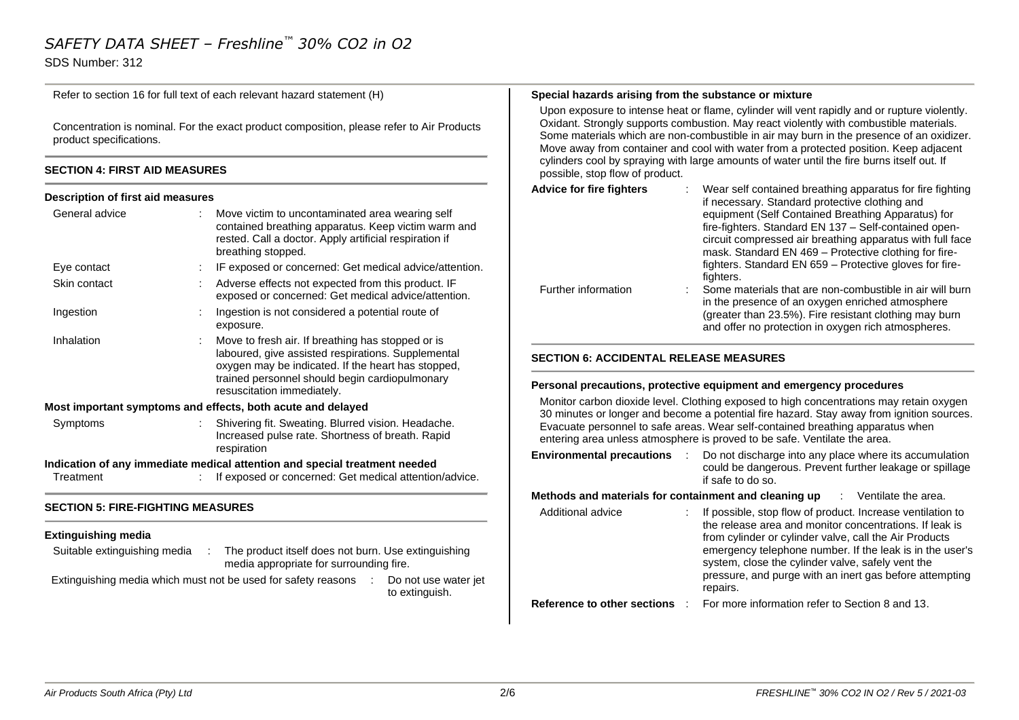# SDS Number: 312

Refer to section 16 for full text of each relevant hazard statement (H)

Concentration is nominal. For the exact product composition, please refer to Air Products product specifications.

# **SECTION 4: FIRST AID MEASURES**

#### **Description of first aid measures**

| General advice                           | Move victim to uncontaminated area wearing self                                                                                                                                                                                               |
|------------------------------------------|-----------------------------------------------------------------------------------------------------------------------------------------------------------------------------------------------------------------------------------------------|
|                                          | contained breathing apparatus. Keep victim warm and<br>rested. Call a doctor. Apply artificial respiration if<br>breathing stopped.                                                                                                           |
| Eye contact                              | IF exposed or concerned: Get medical advice/attention.                                                                                                                                                                                        |
| Skin contact                             | Adverse effects not expected from this product. IF<br>exposed or concerned: Get medical advice/attention.                                                                                                                                     |
| Ingestion                                | Ingestion is not considered a potential route of<br>exposure.                                                                                                                                                                                 |
| Inhalation                               | Move to fresh air. If breathing has stopped or is<br>laboured, give assisted respirations. Supplemental<br>oxygen may be indicated. If the heart has stopped,<br>trained personnel should begin cardiopulmonary<br>resuscitation immediately. |
|                                          | Most important symptoms and effects, both acute and delayed                                                                                                                                                                                   |
| Symptoms                                 | Shivering fit. Sweating. Blurred vision. Headache.<br>$\mathbb{R}^{\mathbb{Z}}$<br>Increased pulse rate. Shortness of breath. Rapid<br>respiration                                                                                            |
|                                          | Indication of any immediate medical attention and special treatment needed                                                                                                                                                                    |
| Treatment                                | If exposed or concerned: Get medical attention/advice.                                                                                                                                                                                        |
| <b>SECTION 5: FIRE-FIGHTING MEASURES</b> |                                                                                                                                                                                                                                               |
| وبالمرجومة ومرودا والمراوية ومراويهم     |                                                                                                                                                                                                                                               |

### **Extinguishing media**

| Suitable extinguishing media                                  | The product itself does not burn. Use extinguishing<br>media appropriate for surrounding fire. |                                        |
|---------------------------------------------------------------|------------------------------------------------------------------------------------------------|----------------------------------------|
| Extinguishing media which must not be used for safety reasons |                                                                                                | Do not use water jet<br>to extinguish. |

### **Special hazards arising from the substance or mixture**

Upon exposure to intense heat or flame, cylinder will vent rapidly and or rupture violently. Oxidant. Strongly supports combustion. May react violently with combustible materials. Some materials which are non-combustible in air may burn in the presence of an oxidizer. Move away from container and cool with water from a protected position. Keep adjacent cylinders cool by spraying with large amounts of water until the fire burns itself out. If possible, stop flow of product.

| <b>Advice for fire fighters</b> | Wear self contained breathing apparatus for fire fighting<br>if necessary. Standard protective clothing and                                                                                |  |
|---------------------------------|--------------------------------------------------------------------------------------------------------------------------------------------------------------------------------------------|--|
|                                 | equipment (Self Contained Breathing Apparatus) for<br>fire-fighters. Standard EN 137 - Self-contained open-                                                                                |  |
|                                 | circuit compressed air breathing apparatus with full face<br>mask. Standard EN 469 - Protective clothing for fire-<br>fighters. Standard EN 659 - Protective gloves for fire-<br>fighters. |  |
| Further information             | Some materials that are non-combustible in air will burn<br>in the presence of an oxygen enriched atmosphere<br>(greater than 23.5%). Fire resistant clothing may burn                     |  |

and offer no protection in oxygen rich atmospheres.

### **SECTION 6: ACCIDENTAL RELEASE MEASURES**

#### **Personal precautions, protective equipment and emergency procedures**

Monitor carbon dioxide level. Clothing exposed to high concentrations may retain oxygen 30 minutes or longer and become a potential fire hazard. Stay away from ignition sources. Evacuate personnel to safe areas. Wear self-contained breathing apparatus when entering area unless atmosphere is proved to be safe. Ventilate the area.

| <b>Environmental precautions</b> | Do not discharge into any place where its accumulation<br>could be dangerous. Prevent further leakage or spillage<br>if safe to do so.                                                                                                                                                                                                                                  |
|----------------------------------|-------------------------------------------------------------------------------------------------------------------------------------------------------------------------------------------------------------------------------------------------------------------------------------------------------------------------------------------------------------------------|
|                                  | <b>Methods and materials for containment and cleaning up Family 1. Solution Ventilate the area.</b>                                                                                                                                                                                                                                                                     |
| Additional advice                | If possible, stop flow of product. Increase ventilation to<br>the release area and monitor concentrations. If leak is<br>from cylinder or cylinder valve, call the Air Products<br>emergency telephone number. If the leak is in the user's<br>system, close the cylinder valve, safely vent the<br>pressure, and purge with an inert gas before attempting<br>repairs. |
| Reference to other sections      | For more information refer to Section 8 and 13.                                                                                                                                                                                                                                                                                                                         |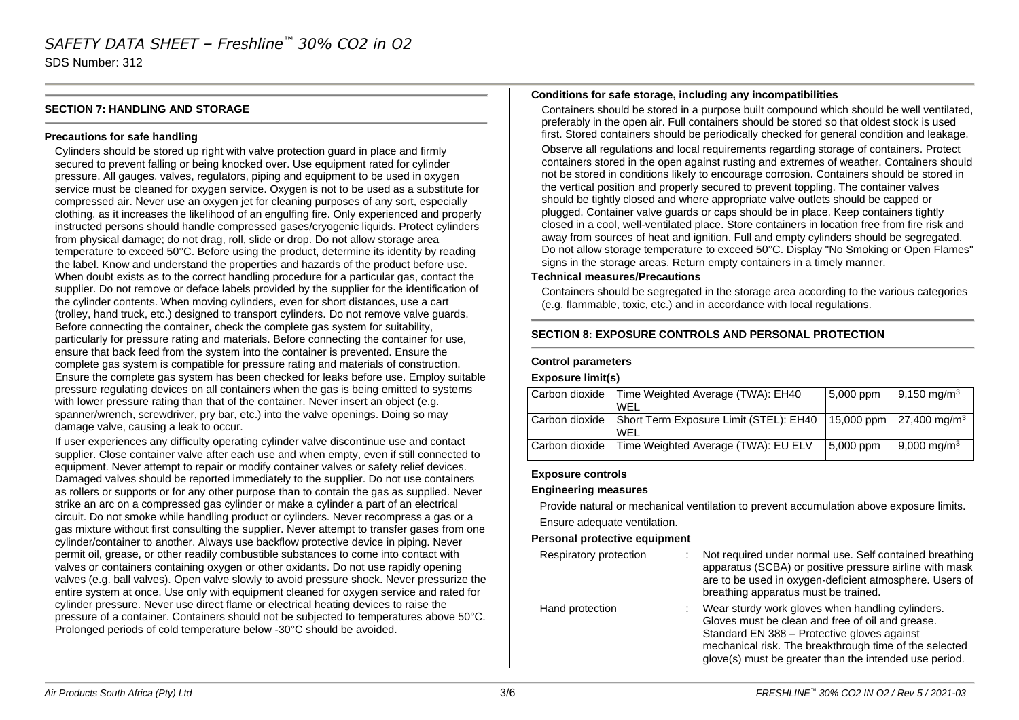**SECTION 7: HANDLING AND STORAGE**

# **Precautions for safe handling**

Cylinders should be stored up right with valve protection guard in place and firmly secured to prevent falling or being knocked over. Use equipment rated for cylinder pressure. All gauges, valves, regulators, piping and equipment to be used in oxygen service must be cleaned for oxygen service. Oxygen is not to be used as a substitute for compressed air. Never use an oxygen jet for cleaning purposes of any sort, especially clothing, as it increases the likelihood of an engulfing fire. Only experienced and properly instructed persons should handle compressed gases/cryogenic liquids. Protect cylinders from physical damage; do not drag, roll, slide or drop. Do not allow storage area temperature to exceed 50°C. Before using the product, determine its identity by reading the label. Know and understand the properties and hazards of the product before use. When doubt exists as to the correct handling procedure for a particular gas, contact the supplier. Do not remove or deface labels provided by the supplier for the identification of the cylinder contents. When moving cylinders, even for short distances, use a cart (trolley, hand truck, etc.) designed to transport cylinders. Do not remove valve guards. Before connecting the container, check the complete gas system for suitability, particularly for pressure rating and materials. Before connecting the container for use, ensure that back feed from the system into the container is prevented. Ensure the complete gas system is compatible for pressure rating and materials of construction. Ensure the complete gas system has been checked for leaks before use. Employ suitable pressure regulating devices on all containers when the gas is being emitted to systems with lower pressure rating than that of the container. Never insert an object (e.g. spanner/wrench, screwdriver, pry bar, etc.) into the valve openings. Doing so may damage valve, causing a leak to occur.

If user experiences any difficulty operating cylinder valve discontinue use and contact supplier. Close container valve after each use and when empty, even if still connected to equipment. Never attempt to repair or modify container valves or safety relief devices. Damaged valves should be reported immediately to the supplier. Do not use containers as rollers or supports or for any other purpose than to contain the gas as supplied. Never strike an arc on a compressed gas cylinder or make a cylinder a part of an electrical circuit. Do not smoke while handling product or cylinders. Never recompress a gas or a gas mixture without first consulting the supplier. Never attempt to transfer gases from one cylinder/container to another. Always use backflow protective device in piping. Never permit oil, grease, or other readily combustible substances to come into contact with valves or containers containing oxygen or other oxidants. Do not use rapidly opening valves (e.g. ball valves). Open valve slowly to avoid pressure shock. Never pressurize the entire system at once. Use only with equipment cleaned for oxygen service and rated for cylinder pressure. Never use direct flame or electrical heating devices to raise the pressure of a container. Containers should not be subjected to temperatures above 50°C. Prolonged periods of cold temperature below -30°C should be avoided.

### **Conditions for safe storage, including any incompatibilities**

Containers should be stored in a purpose built compound which should be well ventilated, preferably in the open air. Full containers should be stored so that oldest stock is used first. Stored containers should be periodically checked for general condition and leakage. Observe all regulations and local requirements regarding storage of containers. Protect containers stored in the open against rusting and extremes of weather. Containers should not be stored in conditions likely to encourage corrosion. Containers should be stored in the vertical position and properly secured to prevent toppling. The container valves should be tightly closed and where appropriate valve outlets should be capped or plugged. Container valve guards or caps should be in place. Keep containers tightly closed in a cool, well-ventilated place. Store containers in location free from fire risk and away from sources of heat and ignition. Full and empty cylinders should be segregated. Do not allow storage temperature to exceed 50°C. Display "No Smoking or Open Flames" signs in the storage areas. Return empty containers in a timely manner.

#### **Technical measures/Precautions**

Containers should be segregated in the storage area according to the various categories (e.g. flammable, toxic, etc.) and in accordance with local regulations.

# **SECTION 8: EXPOSURE CONTROLS AND PERSONAL PROTECTION**

### **Control parameters**

### **Exposure limit(s)**

|                | Carbon dioxide   Time Weighted Average (TWA): EH40<br>WFI | 5,000 ppm   | $9,150 \text{ mg/m}^3$              |
|----------------|-----------------------------------------------------------|-------------|-------------------------------------|
| Carbon dioxide | Short Term Exposure Limit (STEL): EH40<br>WFI             |             | 15,000 ppm 27,400 mg/m <sup>3</sup> |
| Carbon dioxide | Time Weighted Average (TWA): EU ELV                       | $5,000$ ppm | 9,000 mg/m <sup>3</sup>             |

### **Exposure controls**

### **Engineering measures**

Provide natural or mechanical ventilation to prevent accumulation above exposure limits. Ensure adequate ventilation.

**Personal protective equipment**

| Respiratory protection | Not required under normal use. Self contained breathing<br>apparatus (SCBA) or positive pressure airline with mask<br>are to be used in oxygen-deficient atmosphere. Users of<br>breathing apparatus must be trained.                                                   |
|------------------------|-------------------------------------------------------------------------------------------------------------------------------------------------------------------------------------------------------------------------------------------------------------------------|
| Hand protection        | Wear sturdy work gloves when handling cylinders.<br>Gloves must be clean and free of oil and grease.<br>Standard EN 388 - Protective gloves against<br>mechanical risk. The breakthrough time of the selected<br>glove(s) must be greater than the intended use period. |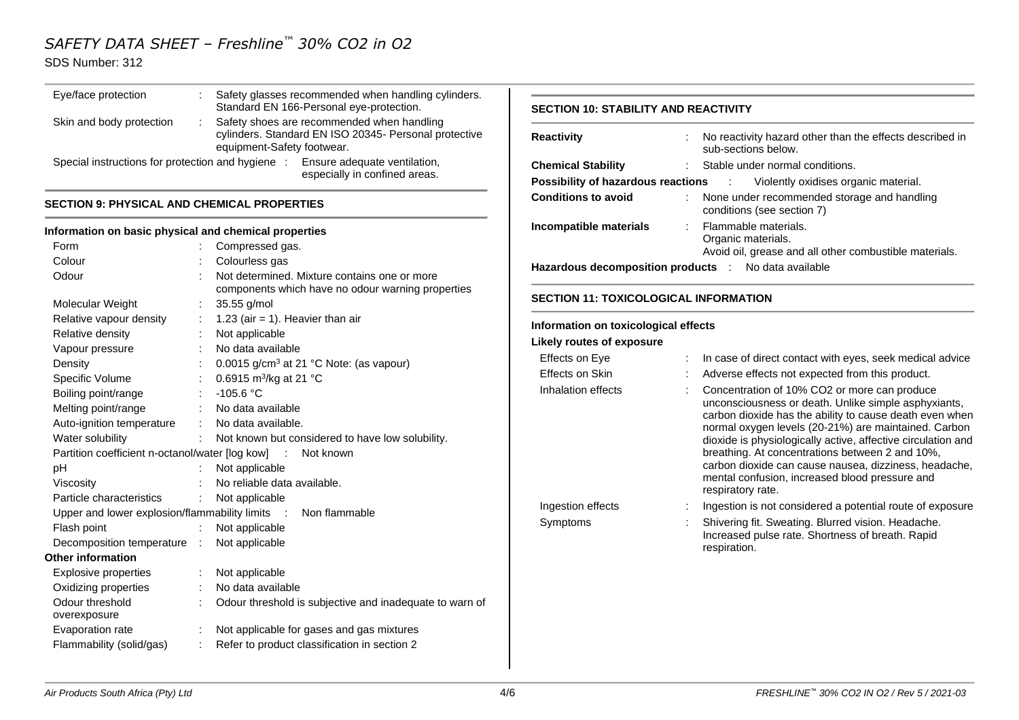# SDS Number: 312

| Eye/face protection                               | Safety glasses recommended when handling cylinders.<br>Standard EN 166-Personal eye-protection.                                   |
|---------------------------------------------------|-----------------------------------------------------------------------------------------------------------------------------------|
| Skin and body protection                          | Safety shoes are recommended when handling<br>cylinders. Standard EN ISO 20345- Personal protective<br>equipment-Safety footwear. |
| Special instructions for protection and hygiene : | Ensure adequate ventilation,<br>especially in confined areas.                                                                     |

### **SECTION 9: PHYSICAL AND CHEMICAL PROPERTIES**

#### **Information on basic physical and chemical properties**

| Form                      |               | Compressed gas.                                                                                   |
|---------------------------|---------------|---------------------------------------------------------------------------------------------------|
| Colour                    |               | Colourless gas                                                                                    |
| Odour                     |               | Not determined. Mixture contains one or more<br>components which have no odour warning properties |
| Molecular Weight          | ÷             | 35.55 g/mol                                                                                       |
| Relative vapour density   |               | 1.23 (air = 1). Heavier than air                                                                  |
| Relative density          |               | Not applicable                                                                                    |
| Vapour pressure           |               | No data available                                                                                 |
| Density                   |               | 0.0015 g/cm <sup>3</sup> at 21 °C Note: (as vapour)                                               |
| Specific Volume           | ÷             | 0.6915 m <sup>3</sup> /kg at 21 °C                                                                |
| Boiling point/range       | $\mathcal{L}$ | $-105.6 °C$                                                                                       |
| Melting point/range       |               | : No data available                                                                               |
| Auto-ignition temperature |               | : No data available.                                                                              |
| Water solubility          |               | : Not known but considered to have low solubility.                                                |
|                           |               | Partition coefficient n-octanol/water [log kow] : Not known                                       |
| рH                        |               | Not applicable                                                                                    |
| Viscosity                 |               | No reliable data available.                                                                       |
| Particle characteristics  | ÷             | Not applicable                                                                                    |
|                           |               | Upper and lower explosion/flammability limits : Non flammable                                     |
| Flash point               | ÷             | Not applicable                                                                                    |
| Decomposition temperature | ÷             | Not applicable                                                                                    |
| <b>Other information</b>  |               |                                                                                                   |
| Explosive properties      |               | Not applicable                                                                                    |
| Oxidizing properties      |               | No data available                                                                                 |
| Odour threshold           | ÷.            | Odour threshold is subjective and inadequate to warn of                                           |
| overexposure              |               |                                                                                                   |
| Evaporation rate          | ÷             | Not applicable for gases and gas mixtures                                                         |
| Flammability (solid/gas)  | ÷             | Refer to product classification in section 2                                                      |
|                           |               |                                                                                                   |

# **SECTION 10: STABILITY AND REACTIVITY Reactivity Reactivity Reactivity Reactivity Reactivity Reactivity Reactivity Reactivity Reactivity Reactivity Reactivity Reactivity Reactivity Reactivity Reactivity Reactivity Reactivity** sub-sections below. **Chemical Stability** : Stable under normal conditions. **Possibility of hazardous reactions** : Violently oxidises organic material. **Conditions to avoid** : None under recommended storage and handling conditions (see section 7) **Incompatible materials** : Flammable materials. Organic materials. Avoid oil, grease and all other combustible materials. **Hazardous decomposition products** : No data available **SECTION 11: TOXICOLOGICAL INFORMATION Information on toxicological effects Likely routes of exposure** Effects on Eye : In case of direct contact with eyes, seek medical advice Effects on Skin : Adverse effects not expected from this product. Inhalation effects : Concentration of 10% CO2 or more can produce unconsciousness or death. Unlike simple asphyxiants, carbon dioxide has the ability to cause death even when normal oxygen levels (20-21%) are maintained. Carbon dioxide is physiologically active, affective circulation and breathing. At concentrations between 2 and 10%, carbon dioxide can cause nausea, dizziness, headache, mental confusion, increased blood pressure and respiratory rate. Ingestion effects : Ingestion is not considered a potential route of exposure Symptoms : Shivering fit. Sweating. Blurred vision. Headache. Increased pulse rate. Shortness of breath. Rapid respiration.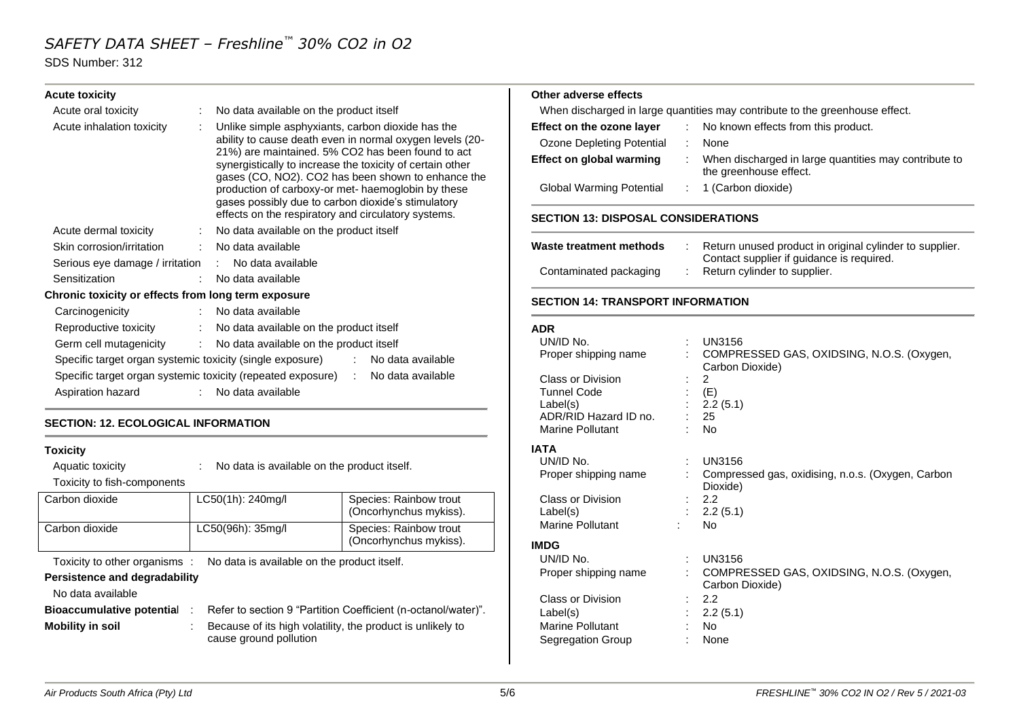# SDS Number: 312

| <b>Acute toxicity</b> |
|-----------------------|
|-----------------------|

| Acute oral toxicity                                 |   | No data available on the product itself                                                                                                                                                                               | Wher                  |
|-----------------------------------------------------|---|-----------------------------------------------------------------------------------------------------------------------------------------------------------------------------------------------------------------------|-----------------------|
| Acute inhalation toxicity                           |   | Unlike simple asphyxiants, carbon dioxide has the                                                                                                                                                                     | <b>Effect</b>         |
|                                                     |   | ability to cause death even in normal oxygen levels (20-<br>21%) are maintained. 5% CO2 has been found to act                                                                                                         | Ozon                  |
|                                                     |   | synergistically to increase the toxicity of certain other                                                                                                                                                             | <b>Effect</b>         |
|                                                     |   | gases (CO, NO2). CO2 has been shown to enhance the<br>production of carboxy-or met- haemoglobin by these<br>gases possibly due to carbon dioxide's stimulatory<br>effects on the respiratory and circulatory systems. | Globa<br><b>SECTK</b> |
| Acute dermal toxicity                               |   | No data available on the product itself                                                                                                                                                                               |                       |
| Skin corrosion/irritation                           | ÷ | No data available                                                                                                                                                                                                     | Waste                 |
| Serious eye damage / irritation                     |   | : No data available                                                                                                                                                                                                   |                       |
| Sensitization                                       |   | : No data available                                                                                                                                                                                                   | Conta                 |
| Chronic toxicity or effects from long term exposure |   |                                                                                                                                                                                                                       | <b>SECTK</b>          |
| Carcinogenicity                                     |   | : No data available                                                                                                                                                                                                   |                       |
| Reproductive toxicity                               |   | : No data available on the product itself                                                                                                                                                                             | <b>ADR</b>            |
| Germ cell mutagenicity                              |   | : No data available on the product itself                                                                                                                                                                             | UN/IE                 |
|                                                     |   | Specific target organ systemic toxicity (single exposure) : No data available                                                                                                                                         | Prope                 |
|                                                     |   | Specific target organ systemic toxicity (repeated exposure) : No data available                                                                                                                                       | Class                 |
| Aspiration hazard                                   |   | : No data available                                                                                                                                                                                                   | Tunn<br>امطہ          |

# **SECTION: 12. ECOLOGICAL INFORMATION**

# **Toxicity** Aquatic toxicity : No data is available on the product itself. Toxicity to fish-components Carbon dioxide | LC50(1h): 240mg/l | Species: Rainbow trout (Oncorhynchus mykiss). Carbon dioxide LC50(96h): 35mg/l Species: Rainbow trout (Oncorhynchus mykiss). Toxicity to other organisms : No data is available on the product itself. **Persistence and degradability** No data available **Bioaccumulative potentia**l : Refer to section 9 "Partition Coefficient (n-octanol/water)". **Mobility in soil** : Because of its high volatility, the product is unlikely to cause ground pollution

### **Other adverse effects**

n discharged in large quantities may contribute to the greenhouse effect.

| Effect on the ozone layer |    | : No known effects from this product.                                           |
|---------------------------|----|---------------------------------------------------------------------------------|
| Ozone Depleting Potential | ٠. | None                                                                            |
| Effect on global warming  |    | When discharged in large quantities may contribute to<br>the greenhouse effect. |
| Global Warming Potential  |    | $\therefore$ 1 (Carbon dioxide)                                                 |

### **ON 13: DISPOSAL CONSIDERATIONS**

| Waste treatment methods | Return unused product in original cylinder to supplier.<br>Contact supplier if guidance is required. |
|-------------------------|------------------------------------------------------------------------------------------------------|
| Contaminated packaging  | Return cylinder to supplier.                                                                         |

# **SECTION 14: TRANSPORT INFORMATION**

| UN/ID No.               |                           | UN3156                                                        |
|-------------------------|---------------------------|---------------------------------------------------------------|
| Proper shipping name    |                           | COMPRESSED GAS, OXIDSING, N.O.S. (Oxygen,<br>Carbon Dioxide)  |
| Class or Division       |                           | 2                                                             |
| <b>Tunnel Code</b>      |                           | : $(E)$                                                       |
| Label(s)                |                           | 2.2(5.1)                                                      |
| ADR/RID Hazard ID no.   |                           | - 25                                                          |
| <b>Marine Pollutant</b> |                           | No                                                            |
| <b>IATA</b>             |                           |                                                               |
| UN/ID No.               | ÷.                        | UN3156                                                        |
| Proper shipping name    |                           | Compressed gas, oxidising, n.o.s. (Oxygen, Carbon<br>Dioxide) |
| Class or Division       |                           | 2.2                                                           |
| Label(s)                | $\mathbb{R}^{\mathbb{Z}}$ | 2.2(5.1)                                                      |
| Marine Pollutant        |                           | <b>No</b>                                                     |
| <b>IMDG</b>             |                           |                                                               |
| UN/ID No.               |                           | UN3156                                                        |
| Proper shipping name    |                           | COMPRESSED GAS, OXIDSING, N.O.S. (Oxygen,<br>Carbon Dioxide)  |
| Class or Division       |                           | 2.2                                                           |
| Label(s)                |                           | 2.2(5.1)                                                      |
| Marine Pollutant        |                           | No                                                            |
| Segregation Group       |                           | None                                                          |
|                         |                           |                                                               |